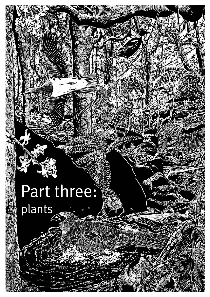# Part three: plants

 $\pi: \mathbb{R} \times \mathbb{R}$  and  $\pi$  and  $\pi$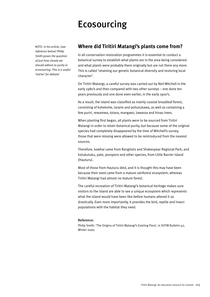## Ecosourcing

NOTE: *In his article, (see reference below) Philip Smith poses the question of just how closely we should adhere to purity in ecosourcing. This is a useful 'starter' for debate!*

### **Where did Tiritiri Matangi's plants come from?**

In all conservation restoration programmes it is essential to conduct a botanical survey to establish what plants are in the area being considered and what plants were probably there originally but are not there any more. This is called 'retaining our genetic botanical diversity and restoring local character'.

On Tiritiri Matangi, a careful survey was carried out by Neil Mitchell in the early 1980's and then compared with two other surveys – one done ten years previously and one done even earlier, in the early 1900's.

As a result, the island was classified as mainly coastal broadleaf forest, consisting of kohekohe, taraire and pohutukawa, as well as containing a few puriri, rewarewa, totara, mangaeo, tawaroa and hinau trees.

When planting first began, all plants were to be sourced from Tiritiri Matangi in order to retain botanical purity, but because some of the original species had completely disappeared by the time of Mitchell's survey, those that were missing were allowed to be reintroduced from the nearest sources.

Therefore, kowhai came from Rangitoto and Shakespear Regional Park, and kotukutuku, pate, poroporo and other species, from Little Barrier Island (Hauturu).

Most of those from Hauturu died, and it is thought this may have been because their seed came from a mature rainforest ecosystem, whereas Tiritiri Matangi had almost no mature forest.

The careful recreation of Tiritiri Matangi's botanical heritage makes sure visitors to the island are able to see a unique ecosystem which represents what the island would have been like before humans altered it so drastically. Even more importantly, it provides the bird, reptile and insect populations with the habitat they need.

#### Reference:

Philip Smith: 'The Origins of Tiritiri Matangi's Existing Flora', in SOTM Bulletin 42, Winter 2000.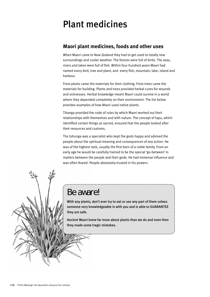# Plant medicines

### **Maori plant medicines, foods and other uses**

When Maori came to New Zealand they had to get used to totally new surroundings and cooler weather. The forests were full of birds. The seas, rivers and lakes were full of fish. Within four hundred years Maori had named every bird, tree and plant, and every fish, mountain, lake, island and harbour.

From plants came the materials for their clothing. From trees came the materials for building. Plants and trees provided herbal cures for wounds and sicknesses. Herbal knowledge meant Maori could survive in a world where they depended completely on their environment. The list below provides examples of how Maori used native plants.

Tikanga provided the code of rules by which Maori worked out their relationships with themselves and with nature. The concept of tapu, which identified certain things as sacred, ensured that the people looked after their resources and customs.

The tohunga was a specialist who kept the gods happy and advised the people about the spiritual meaning and consequences of any action. He was of the highest rank, usually the first born of a noble family. From an early age he would be carefully trained to be the special 'go-between' in matters between the people and their gods. He had immense influence and was often feared. People absolutely trusted in his powers.



### Be aware!

With any plants, don't ever try to eat or use any part of them unless someone very knowledgeable is with you and is able to GUARANTEE they are safe.

Ancient Maori knew far more about plants than we do and even then they made some tragic mistakes.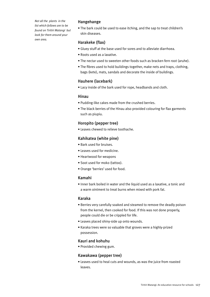*Not all the plants in the list which follows are to be found on Tiritiri Matangi but look for them around your own area.*

#### Hangehange

• The bark could be used to ease itching, and the sap to treat children's skin diseases.

#### Harakeke (flax)

- Gluey stuff at the base used for sores and to alleviate diarrhoea.
- Roots used as a laxative.
- The nectar used to sweeten other foods such as bracken fern root (aruhe).
- The fibres used to hold buildings together, make nets and traps, clothing, bags (kete), mats, sandals and decorate the inside of buildings.

#### Hauhere (lacebark)

• Lacy inside of the bark used for rope, headbands and cloth.

#### Hinau

- Pudding-like cakes made from the crushed berries.
- The black berries of the Hinau also provided colouring for flax garments such as piupiu.

#### Horopito (pepper tree)

• Leaves chewed to relieve toothache.

#### Kahikatea (white pine)

- Bark used for bruises.
- Leaves used for medicine.
- Heartwood for weapons
- Soot used for moko (tattoo).
- Orange 'berries' used for food.

#### Kamahi

• Inner bark boiled in water and the liquid used as a laxative, a tonic and a warm ointment to treat burns when mixed with pork fat.

#### Karaka

- Berries very carefully soaked and steamed to remove the deadly poison from the kernel, then cooked for food. If this was not done properly, people could die or be crippled for life.
- Leaves placed shiny-side up onto wounds.
- Karaka trees were so valuable that groves were a highly-prized possession.

#### Kauri and kohuhu

• Provided chewing gum.

#### Kawakawa (pepper tree)

• Leaves used to heal cuts and wounds, as was the juice from roasted leaves.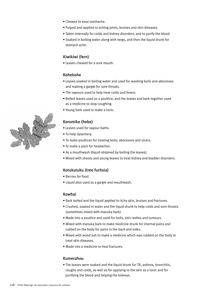- Chewed to ease toothache.
- Pulped and applied to aching joints, bruises and skin diseases.
- Taken internally for colds and kidney disorders, and to purify the blood.
- Soaked in boiling water along with twigs, and then the liquid drunk for stomach ache.

#### Kiwikiwi (fern)

• Leaves chewed for a sore mouth.

#### Kohekohe

- Leaves soaked in boiling water and used for washing boils and abscesses and making a gargle for sore throats.
- The vapours used to help treat colds and fevers.
- Boiled leaves used as a poultice, and the leaves and bark together used as a medicine to stop coughing.
- Young bark used to make a tonic.

#### Koromiko (hebe)

- Leaves used for vapour baths.
- To help dysentery.
- To make poultices for treating boils, abscesses and ulcers.
- To make a pack for headaches.
- As a mouthwash (liquid obtained by boiling the leaves).
- Mixed with shoots and young leaves to treat kidney and bladder disorders.

#### Kotukutuku (tree fuchsia)

- Berries for food.
- Liquid also used as a gargle and mouthwash.

#### Kowhai

- Bark boiled and the liquid applied to itchy skin, bruises and fractures.
- Crushed, soaked in water and the liquid drunk to help colds and sore throats (sometimes mixed with manuka bark).
- Made into a poultice and used for boils, skin rashes and tumours.
- Mixed with manuka bark to make medicine drunk for internal pains and rubbed on the body for pains in the back and sides.
- Mixed with wood ash to make a medicine which was rubbed on the body to treat skin diseases.
- Made into a medicine to heal fractures.

#### Kumerahou

• The leaves were soaked and the liquid drunk for TB, asthma, bronchitis, coughs and colds, as well as for applying to the skin as a tonic and for purifying the blood and helping the kidneys.

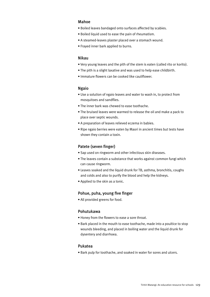#### Mahoe

- Boiled leaves bandaged onto surfaces affected by scabies.
- Boiled liquid used to ease the pain of rheumatism.
- A steamed-leaves plaster placed over a stomach wound.
- Frayed inner bark applied to burns.

#### Nikau

- Very young leaves and the pith of the stem is eaten (called rito or korito).
- The pith is a slight laxative and was used to help ease childbirth.
- Immature flowers can be cooked like cauliflower.

#### Ngaio

- Use a solution of ngaio leaves and water to wash in, to protect from mosquitoes and sandflies.
- The inner bark was chewed to ease toothache.
- The bruised leaves were warmed to release the oil and make a pack to place over septic wounds.
- A preparation of leaves relieved eczema in babies.
- Ripe ngaio berries were eaten by Maori in ancient times but tests have shown they contain a toxin.

#### Patete (seven finger)

- Sap used on ringworm and other infectious skin diseases.
- The leaves contain a substance that works against common fungi which can cause ringworm.
- Leaves soaked and the liquid drunk for TB, asthma, bronchitis, coughs and colds and also to purify the blood and help the kidneys.
- Applied to the skin as a tonic.

#### Pohue, puha, young five finger

• All provided greens for food.

#### Pohutukawa

- Honey from the flowers to ease a sore throat.
- Bark placed in the mouth to ease toothache, made into a poultice to stop wounds bleeding, and placed in boiling water and the liquid drunk for dysentery and diarrhoea.

#### Pukatea

• Bark pulp for toothache, and soaked in water for sores and ulcers.